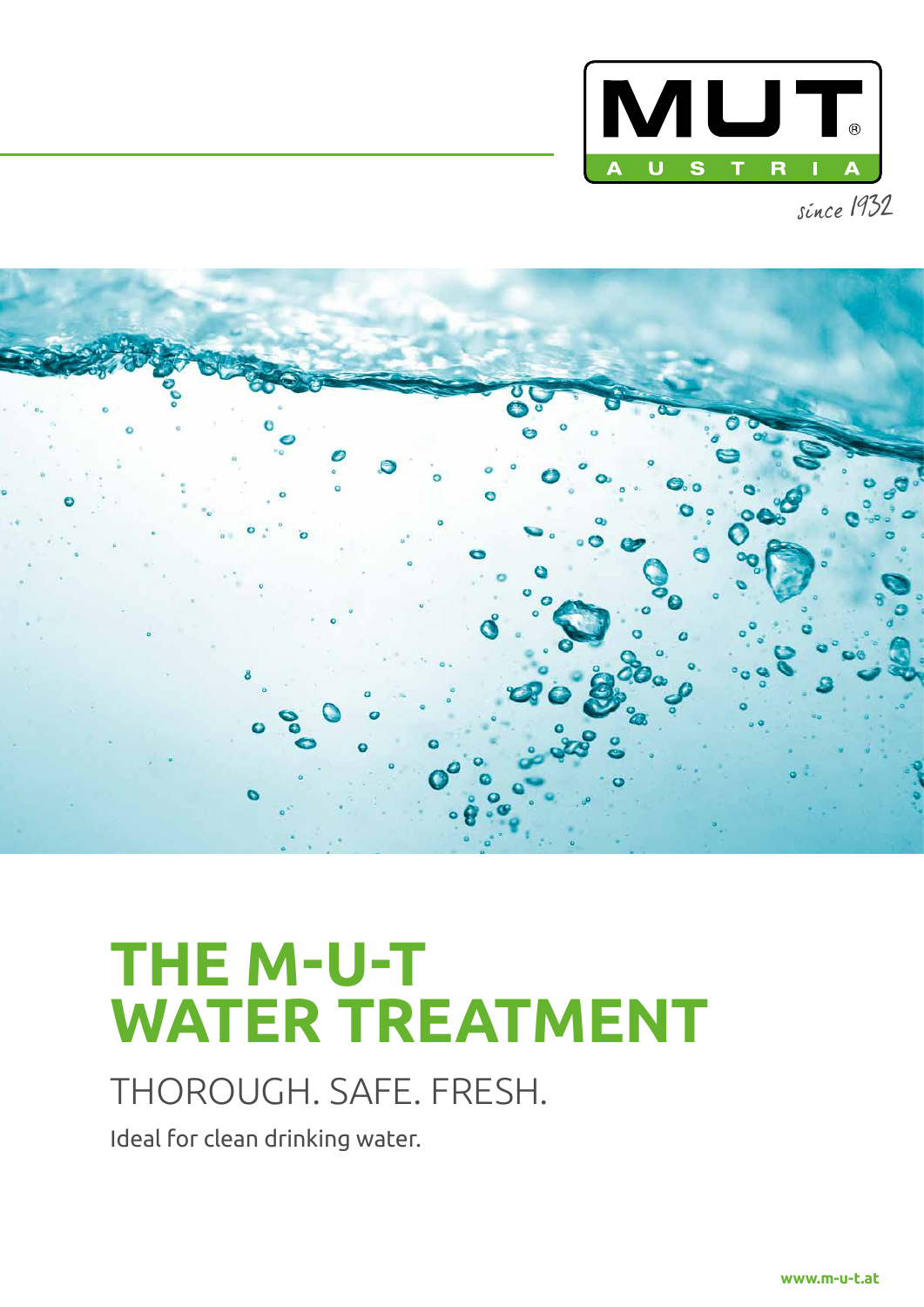

since 1932



# **THE M-U-T WATER TREATMENT**

## THOROUGH. SAFE. FRESH.

Ideal for clean drinking water.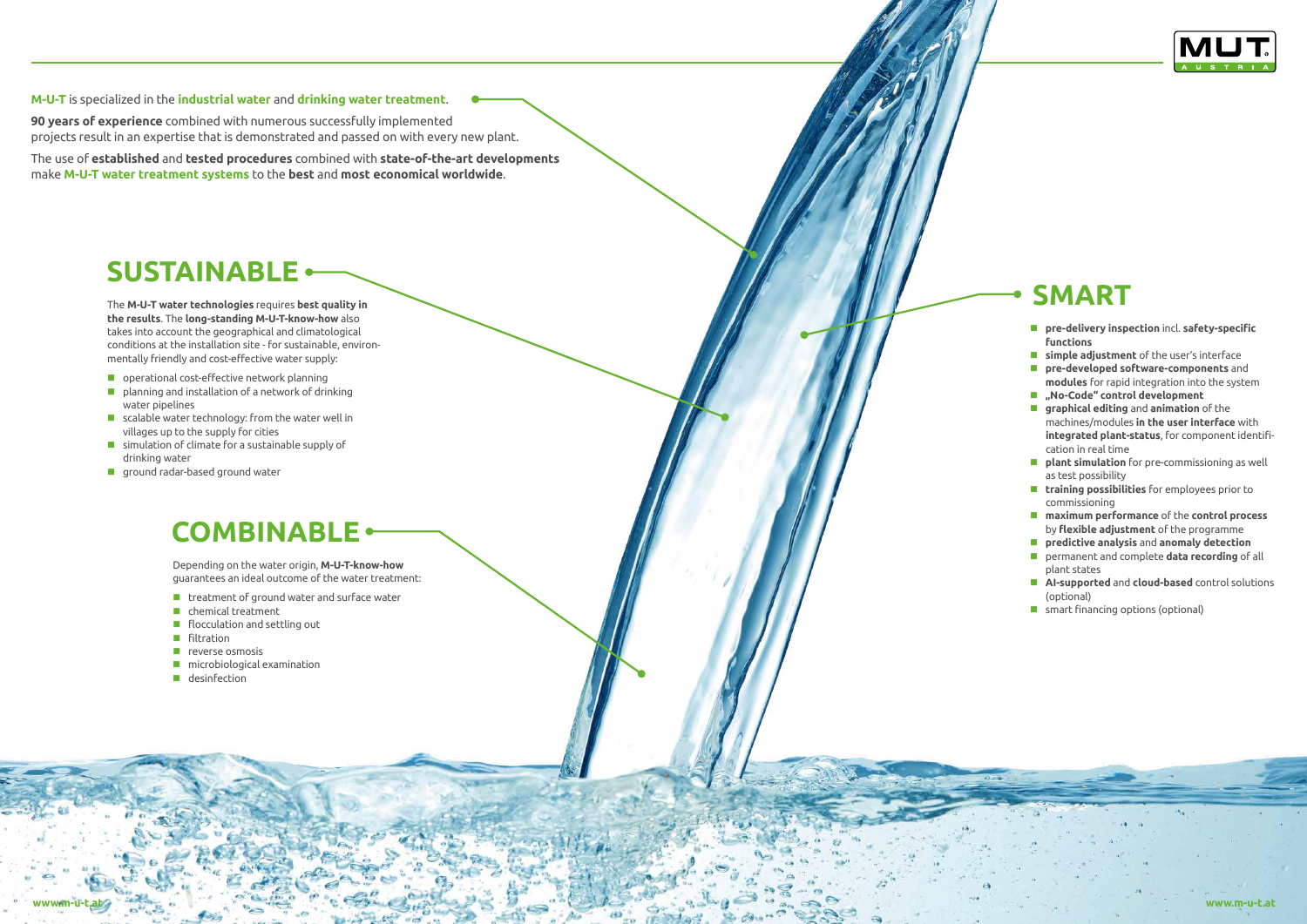**M-U-T** is specialized in the **industrial water** and **drinking water treatment**.

**90 years of experience** combined with numerous successfully implemented projects result in an expertise that is demonstrated and passed on with every new plant.

The use of **established** and **tested procedures** combined with **state-of-the-art developments**  make **M-U-T water treatment systems** to the **best** and **most economical worldwide**.

- **pre-delivery inspection** incl. **safety-specific functions**
- **simple adjustment** of the user's interface
- **pre-developed software-components** and **modules** for rapid integration into the system
- **"No-Code" control development**
- **graphical editing** and **animation** of the machines/modules **in the user interface** with **integrated plant-status**, for component identification in real time
- **plant simulation** for pre-commissioning as well as test possibility
- **training possibilities** for employees prior to commissioning
- **maximum performance** of the **control process**  by **flexible adjustment** of the programme
- **predictive analysis** and **anomaly detection**
- permanent and complete **data recording** of all plant states
- **AI-supported** and **cloud-based** control solutions (optional)
- **E** smart financing options (optional)

Depending on the water origin, **M-U-T-know-how**  guarantees an ideal outcome of the water treatment:

- $\blacksquare$  treatment of ground water and surface water
- **C** chemical treatment
- **F** flocculation and settling out
- **Filtration**
- $\blacksquare$  reverse osmosis
- **n** microbiological examination
- **desinfection**



The M-U-T water technologies requires best quality in **SMART the results**. The **long-standing M-U-T-know-how** also takes into account the geographical and climatological conditions at the installation site - for sustainable, environmentally friendly and cost-effective water supply:

- **D** operational cost-effective network planning
- **P** planning and installation of a network of drinking water pipelines
- $\blacksquare$  scalable water technology: from the water well in villages up to the supply for cities
- simulation of climate for a sustainable supply of drinking water
- **ground radar-based ground water**

### **COMBINABLE**

### **SUSTAINABLE**